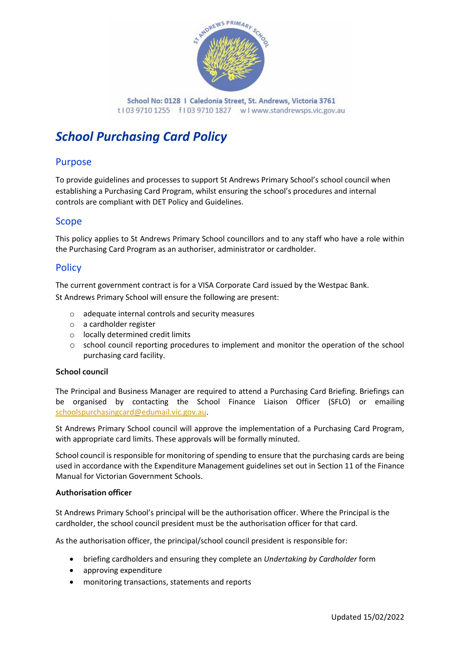

School No: 0128 | Caledonia Street, St. Andrews, Victoria 3761 t103 9710 1255 f103 9710 1827 wlwww.standrewsps.vic.gov.au

# *School Purchasing Card Policy*

# Purpose

To provide guidelines and processes to support St Andrews Primary School's school council when establishing a Purchasing Card Program, whilst ensuring the school's procedures and internal controls are compliant with DET Policy and Guidelines.

## Scope

This policy applies to St Andrews Primary School councillors and to any staff who have a role within the Purchasing Card Program as an authoriser, administrator or cardholder.

## **Policy**

The current government contract is for a VISA Corporate Card issued by the Westpac Bank. St Andrews Primary School will ensure the following are present:

- o adequate internal controls and security measures
- o a cardholder register
- o locally determined credit limits
- o school council reporting procedures to implement and monitor the operation of the school purchasing card facility.

#### **School council**

The Principal and Business Manager are required to attend a Purchasing Card Briefing. Briefings can be organised by contacting the School Finance Liaison Officer (SFLO) or emailing [schoolspurchasingcard@edumail.vic.gov.au.](mailto:schoolspurchasingcard@edumail.vic.gov.au)

St Andrews Primary School council will approve the implementation of a Purchasing Card Program, with appropriate card limits. These approvals will be formally minuted.

School council is responsible for monitoring of spending to ensure that the purchasing cards are being used in accordance with the Expenditure Management guidelines set out in Section 11 of the Finance Manual for Victorian Government Schools.

#### **Authorisation officer**

St Andrews Primary School's principal will be the authorisation officer. Where the Principal is the cardholder, the school council president must be the authorisation officer for that card.

As the authorisation officer, the principal/school council president is responsible for:

- briefing cardholders and ensuring they complete an *Undertaking by Cardholder* form
- approving expenditure
- monitoring transactions, statements and reports